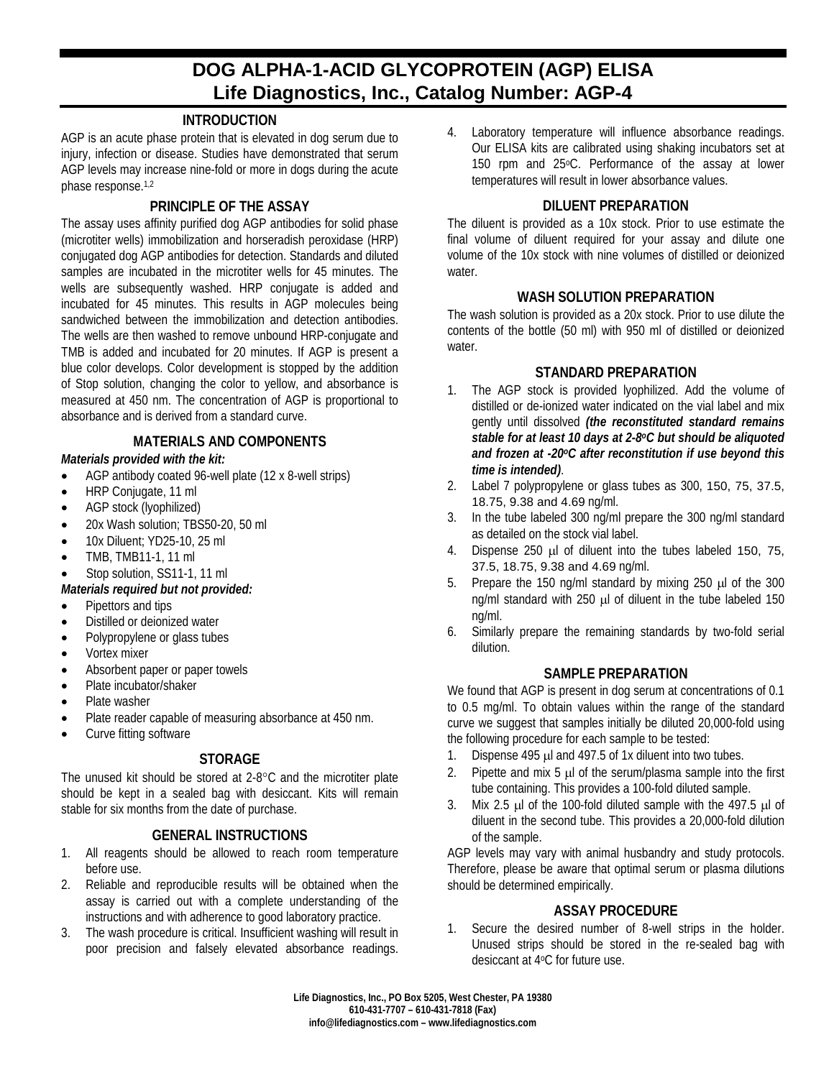# **DOG ALPHA-1-ACID GLYCOPROTEIN (AGP) ELISA Life Diagnostics, Inc., Catalog Number: AGP-4**

## **INTRODUCTION**

AGP is an acute phase protein that is elevated in dog serum due to injury, infection or disease. Studies have demonstrated that serum AGP levels may increase nine-fold or more in dogs during the acute phase response.1,2

## **PRINCIPLE OF THE ASSAY**

The assay uses affinity purified dog AGP antibodies for solid phase (microtiter wells) immobilization and horseradish peroxidase (HRP) conjugated dog AGP antibodies for detection. Standards and diluted samples are incubated in the microtiter wells for 45 minutes. The wells are subsequently washed. HRP conjugate is added and incubated for 45 minutes. This results in AGP molecules being sandwiched between the immobilization and detection antibodies. The wells are then washed to remove unbound HRP-conjugate and TMB is added and incubated for 20 minutes. If AGP is present a blue color develops. Color development is stopped by the addition of Stop solution, changing the color to yellow, and absorbance is measured at 450 nm. The concentration of AGP is proportional to absorbance and is derived from a standard curve.

## **MATERIALS AND COMPONENTS**

## *Materials provided with the kit:*

- AGP antibody coated 96-well plate (12 x 8-well strips)
- HRP Conjugate, 11 ml
- AGP stock (lyophilized)
- 20x Wash solution; TBS50-20, 50 ml
- 10x Diluent; YD25-10, 25 ml
- TMB, TMB11-1, 11 ml
- Stop solution, SS11-1, 11 ml

#### *Materials required but not provided:*

- Pipettors and tips
- Distilled or deionized water
- Polypropylene or glass tubes
- Vortex mixer
- Absorbent paper or paper towels
- Plate incubator/shaker
- Plate washer
- Plate reader capable of measuring absorbance at 450 nm.
- Curve fitting software

# **STORAGE**

The unused kit should be stored at 2-8°C and the microtiter plate should be kept in a sealed bag with desiccant. Kits will remain stable for six months from the date of purchase.

#### **GENERAL INSTRUCTIONS**

- 1. All reagents should be allowed to reach room temperature before use.
- 2. Reliable and reproducible results will be obtained when the assay is carried out with a complete understanding of the instructions and with adherence to good laboratory practice.
- 3. The wash procedure is critical. Insufficient washing will result in poor precision and falsely elevated absorbance readings.

4. Laboratory temperature will influence absorbance readings. Our ELISA kits are calibrated using shaking incubators set at 150 rpm and 25°C. Performance of the assay at lower temperatures will result in lower absorbance values.

## **DILUENT PREPARATION**

The diluent is provided as a 10x stock. Prior to use estimate the final volume of diluent required for your assay and dilute one volume of the 10x stock with nine volumes of distilled or deionized water

#### **WASH SOLUTION PREPARATION**

The wash solution is provided as a 20x stock. Prior to use dilute the contents of the bottle (50 ml) with 950 ml of distilled or deionized water.

## **STANDARD PREPARATION**

- 1. The AGP stock is provided lyophilized. Add the volume of distilled or de-ionized water indicated on the vial label and mix gently until dissolved *(the reconstituted standard remains stable for at least 10 days at 2-8oC but should be aliquoted and frozen at -20oC after reconstitution if use beyond this time is intended)*.
- 2. Label 7 polypropylene or glass tubes as 300, 150, 75, 37.5, 18.75, 9.38 and 4.69 ng/ml.
- 3. In the tube labeled 300 ng/ml prepare the 300 ng/ml standard as detailed on the stock vial label.
- 4. Dispense 250 µl of diluent into the tubes labeled 150, 75, 37.5, 18.75, 9.38 and 4.69 ng/ml.
- 5. Prepare the 150 ng/ml standard by mixing 250 µl of the 300 ng/ml standard with 250 µl of diluent in the tube labeled 150 ng/ml.
- 6. Similarly prepare the remaining standards by two-fold serial dilution.

#### **SAMPLE PREPARATION**

We found that AGP is present in dog serum at concentrations of 0.1 to 0.5 mg/ml. To obtain values within the range of the standard curve we suggest that samples initially be diluted 20,000-fold using the following procedure for each sample to be tested:

- 1. Dispense 495 µl and 497.5 of 1x diluent into two tubes.
- 2. Pipette and mix  $5 \mu$  of the serum/plasma sample into the first tube containing. This provides a 100-fold diluted sample.
- 3. Mix 2.5 µl of the 100-fold diluted sample with the 497.5 µl of diluent in the second tube. This provides a 20,000-fold dilution of the sample.

AGP levels may vary with animal husbandry and study protocols. Therefore, please be aware that optimal serum or plasma dilutions should be determined empirically.

#### **ASSAY PROCEDURE**

1. Secure the desired number of 8-well strips in the holder. Unused strips should be stored in the re-sealed bag with desiccant at 4oC for future use.

**Life Diagnostics, Inc., PO Box 5205, West Chester, PA 19380 610-431-7707 – 610-431-7818 (Fax) info@lifediagnostics.com – www.lifediagnostics.com**